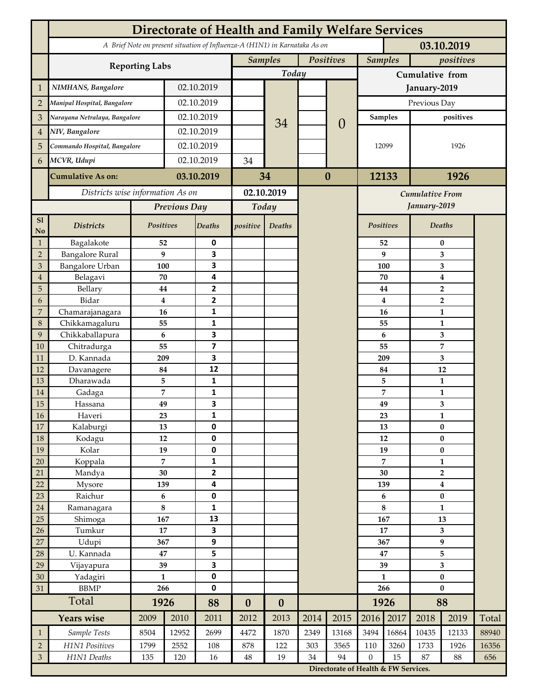|                                           | <b>Directorate of Health and Family Welfare Services</b>                                 |                      |               |                         |                             |                          |              |                        |                                      |               |                                 |                               |       |  |  |
|-------------------------------------------|------------------------------------------------------------------------------------------|----------------------|---------------|-------------------------|-----------------------------|--------------------------|--------------|------------------------|--------------------------------------|---------------|---------------------------------|-------------------------------|-------|--|--|
|                                           | A Brief Note on present situation of Influenza-A (H1N1) in Karnataka As on<br>03.10.2019 |                      |               |                         |                             |                          |              |                        |                                      |               |                                 |                               |       |  |  |
|                                           |                                                                                          |                      |               |                         | Positives<br><b>Samples</b> |                          |              |                        | <b>Samples</b>                       |               | positives                       |                               |       |  |  |
|                                           | <b>Reporting Labs</b>                                                                    |                      |               |                         |                             | Today                    |              |                        | Cumulative from                      |               |                                 |                               |       |  |  |
| $\mathbf{1}$                              | NIMHANS, Bangalore                                                                       | 02.10.2019           |               |                         |                             |                          |              | January-2019           |                                      |               |                                 |                               |       |  |  |
| $\overline{2}$                            | Manipal Hospital, Bangalore                                                              |                      | 02.10.2019    |                         |                             |                          |              |                        | Previous Day                         |               |                                 |                               |       |  |  |
| 3                                         | Narayana Netralaya, Bangalore                                                            |                      |               | 02.10.2019              |                             |                          |              |                        | <b>Samples</b>                       |               | positives                       |                               |       |  |  |
| $\overline{4}$                            |                                                                                          | NIV, Bangalore       |               | 02.10.2019              |                             | 34                       |              | $\theta$               |                                      |               |                                 |                               |       |  |  |
| 5                                         | Commando Hospital, Bangalore                                                             |                      | 02.10.2019    |                         |                             |                          |              |                        | 12099                                |               | 1926                            |                               |       |  |  |
| 6                                         | MCVR, Udupi                                                                              |                      | 02.10.2019    |                         | 34                          |                          |              |                        |                                      |               |                                 |                               |       |  |  |
|                                           |                                                                                          |                      |               |                         |                             |                          | $\bf{0}$     |                        |                                      |               |                                 |                               |       |  |  |
|                                           | <b>Cumulative As on:</b>                                                                 |                      | 03.10.2019    |                         | 34                          |                          |              |                        | 12133                                |               | 1926                            |                               |       |  |  |
|                                           | Districts wise information As on                                                         |                      |               | 02.10.2019              |                             |                          |              | <b>Cumulative From</b> |                                      |               |                                 |                               |       |  |  |
|                                           |                                                                                          | Previous Day         |               | Today                   |                             |                          |              |                        |                                      | January-2019  |                                 |                               |       |  |  |
| S1<br>No                                  | <b>Districts</b>                                                                         | Positives            |               | Deaths                  | positive                    | Deaths                   |              |                        | Positives                            |               | <b>Deaths</b>                   |                               |       |  |  |
| $\mathbf{1}$                              | Bagalakote                                                                               | 52                   |               | 0                       |                             |                          |              |                        |                                      | 52            | $\bf{0}$                        |                               |       |  |  |
| $\overline{2}$                            | <b>Bangalore Rural</b>                                                                   | 9                    |               | 3                       |                             |                          |              |                        |                                      | 9             | 3                               |                               |       |  |  |
| 3                                         | <b>Bangalore Urban</b>                                                                   | 100                  |               | 3                       |                             |                          |              |                        | 100                                  |               |                                 | 3                             |       |  |  |
| $\overline{4}$                            | Belagavi<br>Bellary                                                                      | 70                   |               | 4<br>$\mathbf{2}$       |                             |                          |              |                        |                                      | 70            | $\boldsymbol{4}$<br>$\mathbf 2$ |                               |       |  |  |
| 5<br>6                                    | Bidar                                                                                    | 44<br>$\bf{4}$       |               | 2                       |                             |                          |              |                        |                                      | 44<br>4       |                                 | $\overline{2}$                |       |  |  |
| $\overline{7}$                            | Chamarajanagara                                                                          | 16                   |               | 1                       |                             |                          |              |                        |                                      | 16            | $\mathbf{1}$                    |                               |       |  |  |
| 8                                         | Chikkamagaluru                                                                           | 55                   |               | 1                       |                             |                          |              |                        |                                      | 55            |                                 | 1                             |       |  |  |
| 9                                         | Chikkaballapura                                                                          | 6                    |               | 3                       |                             |                          |              |                        |                                      | 6             |                                 | 3                             |       |  |  |
| 10                                        | Chitradurga                                                                              | 55                   |               | $\overline{\mathbf{z}}$ |                             |                          |              |                        | 55                                   |               |                                 | $\overline{7}$                |       |  |  |
| 11                                        | D. Kannada                                                                               | 209                  |               | 3                       |                             |                          |              |                        |                                      | 209           |                                 | 3                             |       |  |  |
| 12                                        | Davanagere                                                                               | 84                   |               | 12                      |                             |                          |              |                        | 84                                   |               |                                 | 12                            |       |  |  |
| 13                                        | Dharawada                                                                                | 5<br>7               |               | 1<br>1                  |                             |                          |              |                        |                                      | 5             |                                 | 1                             |       |  |  |
| 14<br>15                                  | Gadaga<br>Hassana                                                                        | 49                   | 3             |                         |                             |                          |              |                        |                                      | 7<br>49       |                                 | $\mathbf{1}$<br>3             |       |  |  |
| 16                                        | Haveri                                                                                   | 23                   | 1             |                         |                             |                          |              |                        |                                      | 23            |                                 | 1                             |       |  |  |
| 17                                        | Kalaburgi                                                                                | 13                   |               | 0                       |                             |                          |              |                        |                                      | 13            |                                 | $\pmb{0}$                     |       |  |  |
| 18                                        | Kodagu                                                                                   | $12\,$               |               | 0                       |                             |                          |              | 12                     |                                      | $\pmb{0}$     |                                 |                               |       |  |  |
| 19                                        | Kolar                                                                                    | 19                   |               | 0                       |                             |                          |              |                        |                                      | 19            |                                 | $\bf{0}$                      |       |  |  |
| 20                                        | Koppala                                                                                  | $\overline{7}$       |               | 1                       |                             |                          |              |                        | 7                                    |               | $\mathbf{1}$                    |                               |       |  |  |
| 21                                        | Mandya                                                                                   | 30                   |               | $\overline{\mathbf{2}}$ |                             |                          |              |                        |                                      | 30            |                                 | $\overline{2}$                |       |  |  |
| 22<br>23                                  | Mysore<br>Raichur                                                                        | 139<br>$\bf 6$       |               | 4<br>0                  |                             |                          |              |                        |                                      | 139<br>6      |                                 | $\boldsymbol{4}$<br>$\pmb{0}$ |       |  |  |
| 24                                        | Ramanagara                                                                               | $\bf 8$              |               | 1                       |                             |                          |              |                        |                                      | 8             |                                 | $\mathbf{1}$                  |       |  |  |
| 25                                        | Shimoga                                                                                  | 167                  |               | 13                      |                             |                          |              |                        | 167                                  |               | 13                              |                               |       |  |  |
| 26                                        | Tumkur                                                                                   | 17                   |               | 3                       |                             |                          |              |                        | 17                                   |               | 3                               |                               |       |  |  |
| 27                                        | Udupi                                                                                    | 367                  |               | 9                       |                             |                          |              |                        | 367                                  |               | $\boldsymbol{9}$                |                               |       |  |  |
| 28                                        | U. Kannada                                                                               | 47                   |               | 5                       |                             |                          |              |                        | 47                                   |               | 5                               |                               |       |  |  |
| 29                                        | Vijayapura                                                                               | 39                   |               | 3                       |                             |                          |              |                        | 39                                   |               | 3                               |                               |       |  |  |
| 30                                        | Yadagiri                                                                                 | $\mathbf{1}$<br>266  |               | 0<br>0                  |                             |                          |              |                        | $\mathbf{1}$<br>266                  |               | $\pmb{0}$<br>$\bf{0}$           |                               |       |  |  |
| 31                                        | <b>BBMP</b><br>Total                                                                     |                      |               |                         |                             |                          |              |                        | 1926                                 |               | 88                              |                               |       |  |  |
|                                           | <b>Years wise</b>                                                                        | 1926<br>2009<br>2010 |               | 88<br>2011              | $\boldsymbol{0}$<br>2012    | $\boldsymbol{0}$<br>2013 | 2014<br>2015 |                        | 2016                                 | 2017          | 2018                            | 2019                          | Total |  |  |
|                                           |                                                                                          |                      |               | 2699                    |                             |                          | 2349         |                        | 3494                                 |               |                                 |                               | 88940 |  |  |
| $\mathbf{1}$                              | Sample Tests<br>H1N1 Positives                                                           | 8504<br>1799         | 12952<br>2552 |                         | 4472                        | 1870<br>122              |              | 13168<br>3565          | 110                                  | 16864<br>3260 | 10435<br>1733                   | 12133<br>1926                 | 16356 |  |  |
| $\sqrt{2}$<br>$\ensuremath{\mathfrak{Z}}$ | H1N1 Deaths                                                                              | 135                  | 120           | 108<br>16               | 878<br>$\bf 48$             | 19                       | 303<br>34    | 94                     | $\mathbf{0}$                         | 15            | 87                              | 88                            | 656   |  |  |
|                                           |                                                                                          |                      |               |                         |                             |                          |              |                        | Directorate of Health & FW Services. |               |                                 |                               |       |  |  |